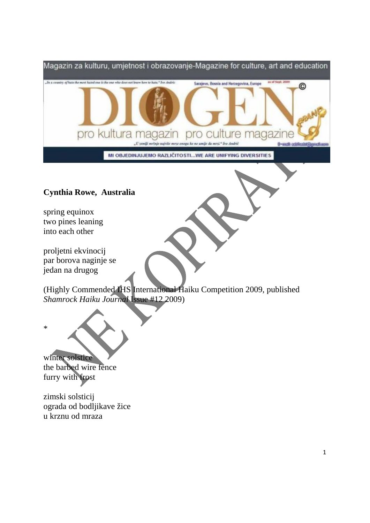

## **Cynthia Rowe, Australia**

spring equinox two pines leaning into each other

proljetni ekvinocij par borova naginje se jedan na drugog

(Highly Commended IHS International Haiku Competition 2009, published *Shamrock Haiku Journal* Issue #12 2009)



zimski solsticij ograda od bodljikave žice u krznu od mraza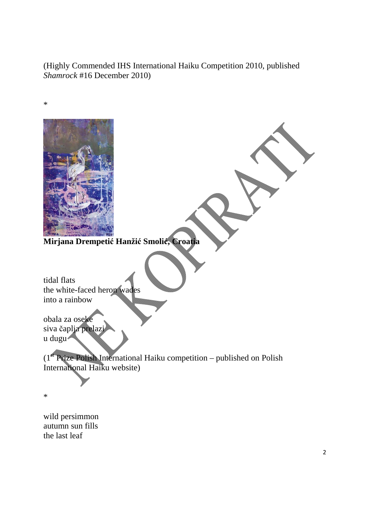(Highly Commended IHS International Haiku Competition 2010, published *Shamrock* #16 December 2010)



wild persimmon autumn sun fills the last leaf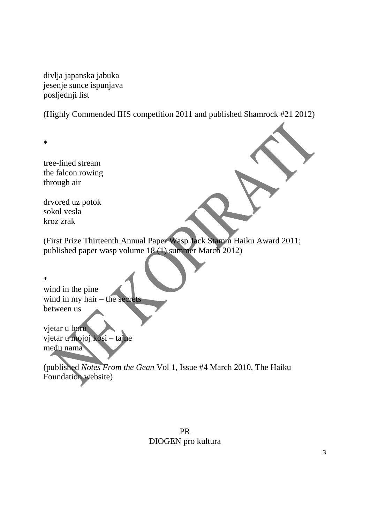divlja japanska jabuka jesenje sunce ispunjava posljednji list

(Highly Commended IHS competition 2011 and published Shamrock #21 2012)

\*

tree-lined stream the falcon rowing through air

drvored uz potok sokol vesla kroz zrak

(First Prize Thirteenth Annual Paper Wasp Jack Stamm Haiku Award 2011; published paper wasp volume 18 (1) summer March 2012)

\* wind in the pine wind in my hair – the secrets between us

vjetar u boru vjetar u mojoj kosi – tajne među nama

(published *Notes From the Gean* Vol 1, Issue #4 March 2010, The Haiku Foundation website)